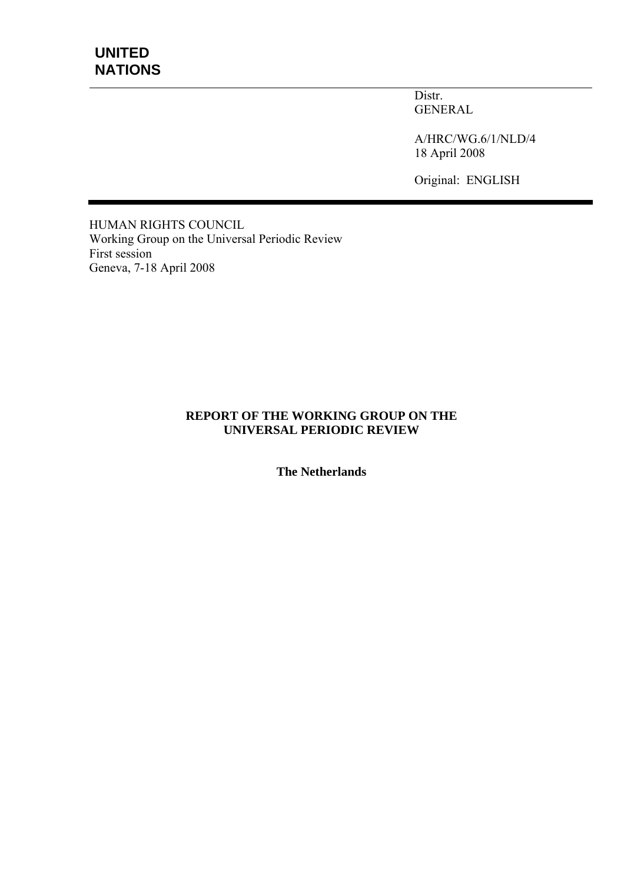Distr. GENERAL

A/HRC/WG.6/1/NLD/4 18 April 2008

Original: ENGLISH

HUMAN RIGHTS COUNCIL Working Group on the Universal Periodic Review First session Geneva, 7-18 April 2008

#### **REPORT OF THE WORKING GROUP ON THE UNIVERSAL PERIODIC REVIEW**

**The Netherlands**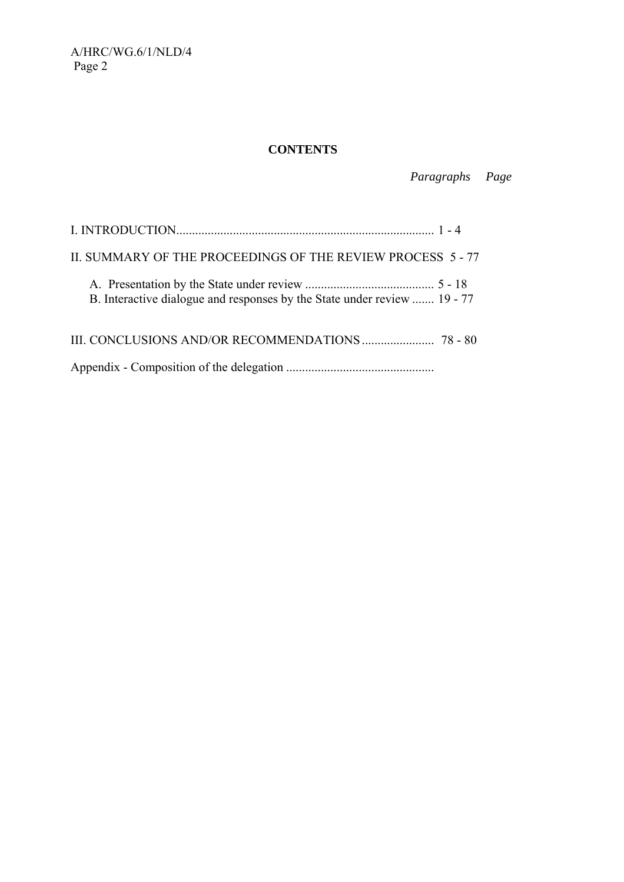# **CONTENTS**

 *Paragraphs Page* 

| II. SUMMARY OF THE PROCEEDINGS OF THE REVIEW PROCESS 5-77                |  |
|--------------------------------------------------------------------------|--|
| B. Interactive dialogue and responses by the State under review  19 - 77 |  |
|                                                                          |  |
|                                                                          |  |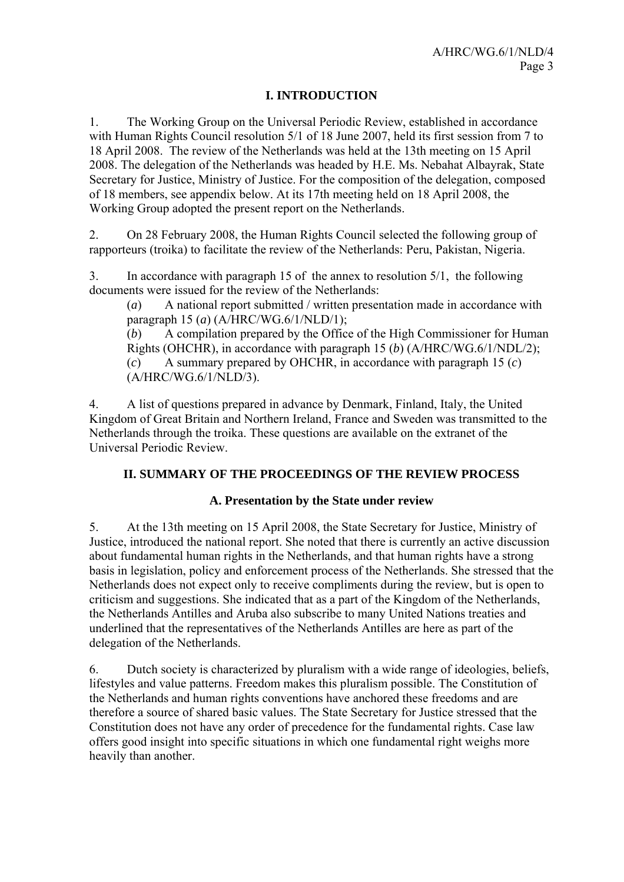# **I. INTRODUCTION**

1. The Working Group on the Universal Periodic Review, established in accordance with Human Rights Council resolution 5/1 of 18 June 2007, held its first session from 7 to 18 April 2008. The review of the Netherlands was held at the 13th meeting on 15 April 2008. The delegation of the Netherlands was headed by H.E. Ms. Nebahat Albayrak, State Secretary for Justice, Ministry of Justice. For the composition of the delegation, composed of 18 members, see appendix below. At its 17th meeting held on 18 April 2008, the Working Group adopted the present report on the Netherlands.

2. On 28 February 2008, the Human Rights Council selected the following group of rapporteurs (troika) to facilitate the review of the Netherlands: Peru, Pakistan, Nigeria.

3. In accordance with paragraph 15 of the annex to resolution 5/1, the following documents were issued for the review of the Netherlands:

(*a*) A national report submitted / written presentation made in accordance with paragraph 15 (*a*) (A/HRC/WG.6/1/NLD/1);

(*b*) A compilation prepared by the Office of the High Commissioner for Human Rights (OHCHR), in accordance with paragraph 15 (*b*) (A/HRC/WG.6/1/NDL/2); (*c*) A summary prepared by OHCHR, in accordance with paragraph 15 (*c*) (A/HRC/WG.6/1/NLD/3).

4. A list of questions prepared in advance by Denmark, Finland, Italy, the United Kingdom of Great Britain and Northern Ireland, France and Sweden was transmitted to the Netherlands through the troika. These questions are available on the extranet of the Universal Periodic Review.

# **II. SUMMARY OF THE PROCEEDINGS OF THE REVIEW PROCESS**

# **A. Presentation by the State under review**

5. At the 13th meeting on 15 April 2008, the State Secretary for Justice, Ministry of Justice, introduced the national report. She noted that there is currently an active discussion about fundamental human rights in the Netherlands, and that human rights have a strong basis in legislation, policy and enforcement process of the Netherlands. She stressed that the Netherlands does not expect only to receive compliments during the review, but is open to criticism and suggestions. She indicated that as a part of the Kingdom of the Netherlands, the Netherlands Antilles and Aruba also subscribe to many United Nations treaties and underlined that the representatives of the Netherlands Antilles are here as part of the delegation of the Netherlands.

6. Dutch society is characterized by pluralism with a wide range of ideologies, beliefs, lifestyles and value patterns. Freedom makes this pluralism possible. The Constitution of the Netherlands and human rights conventions have anchored these freedoms and are therefore a source of shared basic values. The State Secretary for Justice stressed that the Constitution does not have any order of precedence for the fundamental rights. Case law offers good insight into specific situations in which one fundamental right weighs more heavily than another.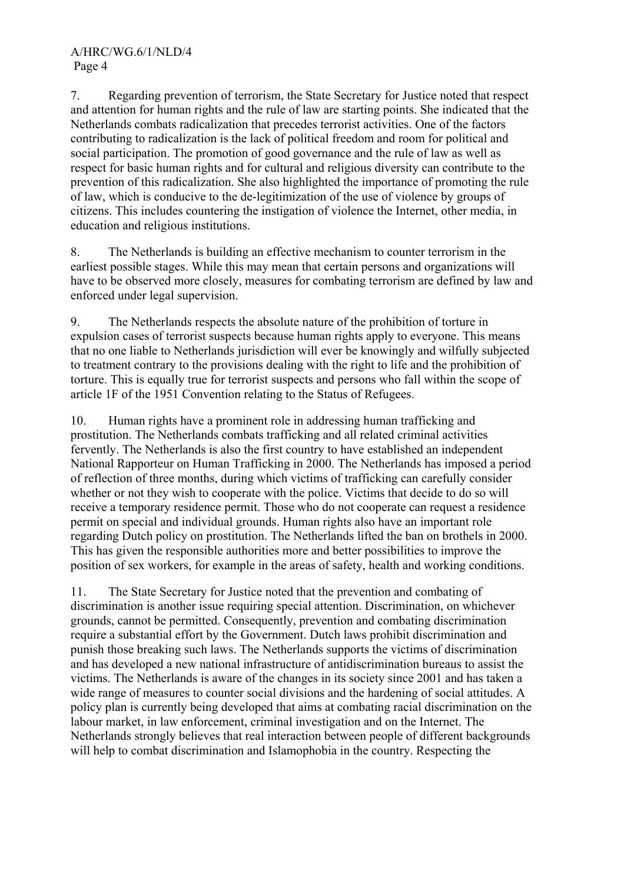7. Regarding prevention of terrorism, the State Secretary for Justice noted that respect and attention for human rights and the rule of law are starting points. She indicated that the Netherlands combats radicalization that precedes terrorist activities. One of the factors contributing to radicalization is the lack of political freedom and room for political and social participation. The promotion of good governance and the rule of law as well as respect for basic human rights and for cultural and religious diversity can contribute to the prevention of this radicalization. She also highlighted the importance of promoting the rule of law, which is conducive to the de-legitimization of the use of violence by groups of citizens. This includes countering the instigation of violence the Internet, other media, in education and religious institutions.

8. The Netherlands is building an effective mechanism to counter terrorism in the earliest possible stages. While this may mean that certain persons and organizations will have to be observed more closely, measures for combating terrorism are defined by law and enforced under legal supervision.

9. The Netherlands respects the absolute nature of the prohibition of torture in expulsion cases of terrorist suspects because human rights apply to everyone. This means that no one liable to Netherlands jurisdiction will ever be knowingly and wilfully subjected to treatment contrary to the provisions dealing with the right to life and the prohibition of torture. This is equally true for terrorist suspects and persons who fall within the scope of article 1F of the 1951 Convention relating to the Status of Refugees.

10. Human rights have a prominent role in addressing human trafficking and prostitution. The Netherlands combats trafficking and all related criminal activities fervently. The Netherlands is also the first country to have established an independent National Rapporteur on Human Trafficking in 2000. The Netherlands has imposed a period of reflection of three months, during which victims of trafficking can carefully consider whether or not they wish to cooperate with the police. Victims that decide to do so will receive a temporary residence permit. Those who do not cooperate can request a residence permit on special and individual grounds. Human rights also have an important role regarding Dutch policy on prostitution. The Netherlands lifted the ban on brothels in 2000. This has given the responsible authorities more and better possibilities to improve the position of sex workers, for example in the areas of safety, health and working conditions.

11. The State Secretary for Justice noted that the prevention and combating of discrimination is another issue requiring special attention. Discrimination, on whichever grounds, cannot be permitted. Consequently, prevention and combating discrimination require a substantial effort by the Government. Dutch laws prohibit discrimination and punish those breaking such laws. The Netherlands supports the victims of discrimination and has developed a new national infrastructure of antidiscrimination bureaus to assist the victims. The Netherlands is aware of the changes in its society since 2001 and has taken a wide range of measures to counter social divisions and the hardening of social attitudes. A policy plan is currently being developed that aims at combating racial discrimination on the labour market, in law enforcement, criminal investigation and on the Internet. The Netherlands strongly believes that real interaction between people of different backgrounds will help to combat discrimination and Islamophobia in the country. Respecting the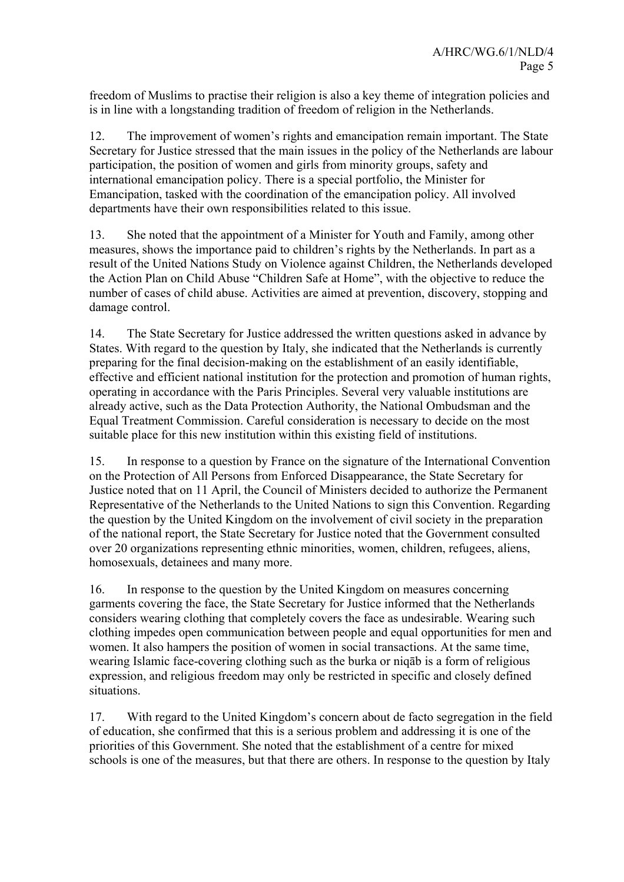freedom of Muslims to practise their religion is also a key theme of integration policies and is in line with a longstanding tradition of freedom of religion in the Netherlands.

12. The improvement of women's rights and emancipation remain important. The State Secretary for Justice stressed that the main issues in the policy of the Netherlands are labour participation, the position of women and girls from minority groups, safety and international emancipation policy. There is a special portfolio, the Minister for Emancipation, tasked with the coordination of the emancipation policy. All involved departments have their own responsibilities related to this issue.

13. She noted that the appointment of a Minister for Youth and Family, among other measures, shows the importance paid to children's rights by the Netherlands. In part as a result of the United Nations Study on Violence against Children, the Netherlands developed the Action Plan on Child Abuse "Children Safe at Home", with the objective to reduce the number of cases of child abuse. Activities are aimed at prevention, discovery, stopping and damage control.

14. The State Secretary for Justice addressed the written questions asked in advance by States. With regard to the question by Italy, she indicated that the Netherlands is currently preparing for the final decision-making on the establishment of an easily identifiable, effective and efficient national institution for the protection and promotion of human rights, operating in accordance with the Paris Principles. Several very valuable institutions are already active, such as the Data Protection Authority, the National Ombudsman and the Equal Treatment Commission. Careful consideration is necessary to decide on the most suitable place for this new institution within this existing field of institutions.

15. In response to a question by France on the signature of the International Convention on the Protection of All Persons from Enforced Disappearance, the State Secretary for Justice noted that on 11 April, the Council of Ministers decided to authorize the Permanent Representative of the Netherlands to the United Nations to sign this Convention. Regarding the question by the United Kingdom on the involvement of civil society in the preparation of the national report, the State Secretary for Justice noted that the Government consulted over 20 organizations representing ethnic minorities, women, children, refugees, aliens, homosexuals, detainees and many more.

16. In response to the question by the United Kingdom on measures concerning garments covering the face, the State Secretary for Justice informed that the Netherlands considers wearing clothing that completely covers the face as undesirable. Wearing such clothing impedes open communication between people and equal opportunities for men and women. It also hampers the position of women in social transactions. At the same time, wearing Islamic face-covering clothing such as the burka or niqāb is a form of religious expression, and religious freedom may only be restricted in specific and closely defined situations.

17. With regard to the United Kingdom's concern about de facto segregation in the field of education, she confirmed that this is a serious problem and addressing it is one of the priorities of this Government. She noted that the establishment of a centre for mixed schools is one of the measures, but that there are others. In response to the question by Italy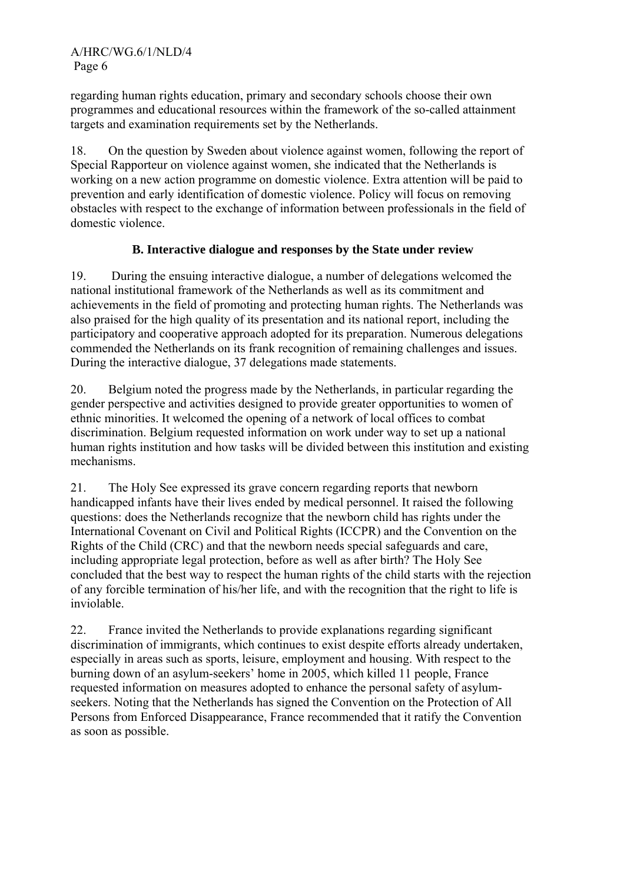regarding human rights education, primary and secondary schools choose their own programmes and educational resources within the framework of the so-called attainment targets and examination requirements set by the Netherlands.

18. On the question by Sweden about violence against women, following the report of Special Rapporteur on violence against women, she indicated that the Netherlands is working on a new action programme on domestic violence. Extra attention will be paid to prevention and early identification of domestic violence. Policy will focus on removing obstacles with respect to the exchange of information between professionals in the field of domestic violence.

# **B. Interactive dialogue and responses by the State under review**

19. During the ensuing interactive dialogue, a number of delegations welcomed the national institutional framework of the Netherlands as well as its commitment and achievements in the field of promoting and protecting human rights. The Netherlands was also praised for the high quality of its presentation and its national report, including the participatory and cooperative approach adopted for its preparation. Numerous delegations commended the Netherlands on its frank recognition of remaining challenges and issues. During the interactive dialogue, 37 delegations made statements.

20. Belgium noted the progress made by the Netherlands, in particular regarding the gender perspective and activities designed to provide greater opportunities to women of ethnic minorities. It welcomed the opening of a network of local offices to combat discrimination. Belgium requested information on work under way to set up a national human rights institution and how tasks will be divided between this institution and existing mechanisms.

21. The Holy See expressed its grave concern regarding reports that newborn handicapped infants have their lives ended by medical personnel. It raised the following questions: does the Netherlands recognize that the newborn child has rights under the International Covenant on Civil and Political Rights (ICCPR) and the Convention on the Rights of the Child (CRC) and that the newborn needs special safeguards and care, including appropriate legal protection, before as well as after birth? The Holy See concluded that the best way to respect the human rights of the child starts with the rejection of any forcible termination of his/her life, and with the recognition that the right to life is inviolable.

22. France invited the Netherlands to provide explanations regarding significant discrimination of immigrants, which continues to exist despite efforts already undertaken, especially in areas such as sports, leisure, employment and housing. With respect to the burning down of an asylum-seekers' home in 2005, which killed 11 people, France requested information on measures adopted to enhance the personal safety of asylumseekers. Noting that the Netherlands has signed the Convention on the Protection of All Persons from Enforced Disappearance, France recommended that it ratify the Convention as soon as possible.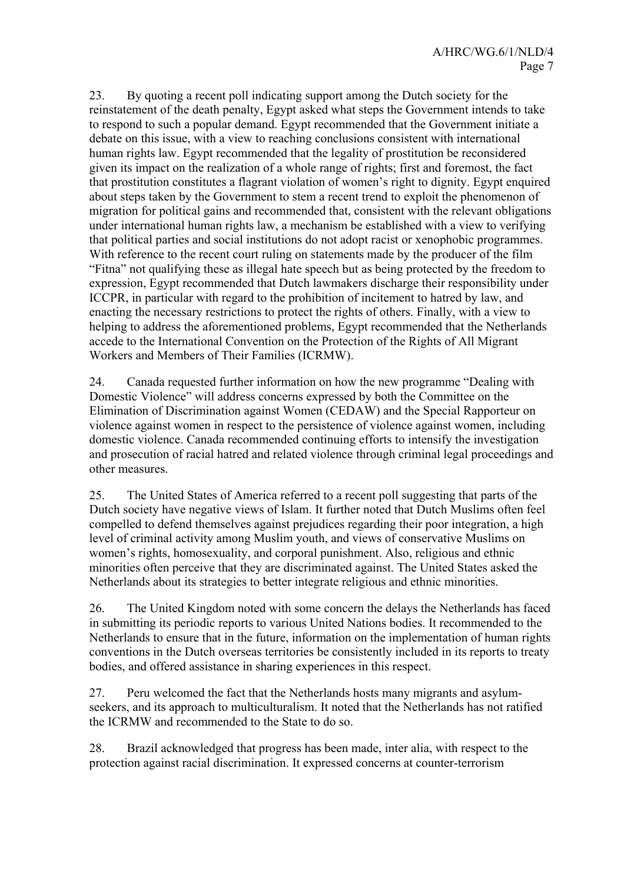23. By quoting a recent poll indicating support among the Dutch society for the reinstatement of the death penalty, Egypt asked what steps the Government intends to take to respond to such a popular demand. Egypt recommended that the Government initiate a debate on this issue, with a view to reaching conclusions consistent with international human rights law. Egypt recommended that the legality of prostitution be reconsidered given its impact on the realization of a whole range of rights; first and foremost, the fact that prostitution constitutes a flagrant violation of women's right to dignity. Egypt enquired about steps taken by the Government to stem a recent trend to exploit the phenomenon of migration for political gains and recommended that, consistent with the relevant obligations under international human rights law, a mechanism be established with a view to verifying that political parties and social institutions do not adopt racist or xenophobic programmes. With reference to the recent court ruling on statements made by the producer of the film "Fitna" not qualifying these as illegal hate speech but as being protected by the freedom to expression, Egypt recommended that Dutch lawmakers discharge their responsibility under ICCPR, in particular with regard to the prohibition of incitement to hatred by law, and enacting the necessary restrictions to protect the rights of others. Finally, with a view to helping to address the aforementioned problems, Egypt recommended that the Netherlands accede to the International Convention on the Protection of the Rights of All Migrant Workers and Members of Their Families (ICRMW).

24. Canada requested further information on how the new programme "Dealing with Domestic Violence" will address concerns expressed by both the Committee on the Elimination of Discrimination against Women (CEDAW) and the Special Rapporteur on violence against women in respect to the persistence of violence against women, including domestic violence. Canada recommended continuing efforts to intensify the investigation and prosecution of racial hatred and related violence through criminal legal proceedings and other measures.

25. The United States of America referred to a recent poll suggesting that parts of the Dutch society have negative views of Islam. It further noted that Dutch Muslims often feel compelled to defend themselves against prejudices regarding their poor integration, a high level of criminal activity among Muslim youth, and views of conservative Muslims on women's rights, homosexuality, and corporal punishment. Also, religious and ethnic minorities often perceive that they are discriminated against. The United States asked the Netherlands about its strategies to better integrate religious and ethnic minorities.

26. The United Kingdom noted with some concern the delays the Netherlands has faced in submitting its periodic reports to various United Nations bodies. It recommended to the Netherlands to ensure that in the future, information on the implementation of human rights conventions in the Dutch overseas territories be consistently included in its reports to treaty bodies, and offered assistance in sharing experiences in this respect.

27. Peru welcomed the fact that the Netherlands hosts many migrants and asylumseekers, and its approach to multiculturalism. It noted that the Netherlands has not ratified the ICRMW and recommended to the State to do so.

28. Brazil acknowledged that progress has been made, inter alia, with respect to the protection against racial discrimination. It expressed concerns at counter-terrorism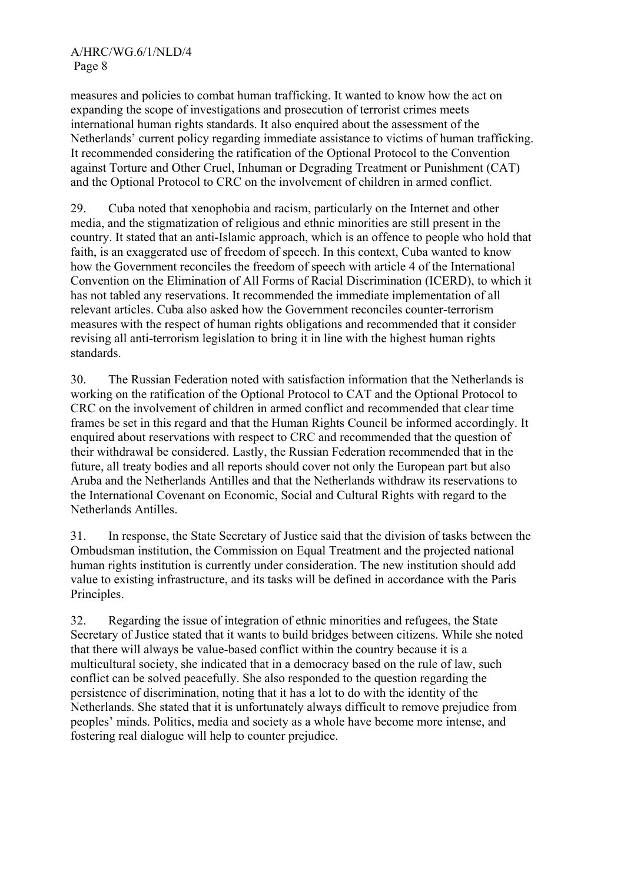measures and policies to combat human trafficking. It wanted to know how the act on expanding the scope of investigations and prosecution of terrorist crimes meets international human rights standards. It also enquired about the assessment of the Netherlands' current policy regarding immediate assistance to victims of human trafficking. It recommended considering the ratification of the Optional Protocol to the Convention against Torture and Other Cruel, Inhuman or Degrading Treatment or Punishment (CAT) and the Optional Protocol to CRC on the involvement of children in armed conflict.

29. Cuba noted that xenophobia and racism, particularly on the Internet and other media, and the stigmatization of religious and ethnic minorities are still present in the country. It stated that an anti-Islamic approach, which is an offence to people who hold that faith, is an exaggerated use of freedom of speech. In this context, Cuba wanted to know how the Government reconciles the freedom of speech with article 4 of the International Convention on the Elimination of All Forms of Racial Discrimination (ICERD), to which it has not tabled any reservations. It recommended the immediate implementation of all relevant articles. Cuba also asked how the Government reconciles counter-terrorism measures with the respect of human rights obligations and recommended that it consider revising all anti-terrorism legislation to bring it in line with the highest human rights standards.

30. The Russian Federation noted with satisfaction information that the Netherlands is working on the ratification of the Optional Protocol to CAT and the Optional Protocol to CRC on the involvement of children in armed conflict and recommended that clear time frames be set in this regard and that the Human Rights Council be informed accordingly. It enquired about reservations with respect to CRC and recommended that the question of their withdrawal be considered. Lastly, the Russian Federation recommended that in the future, all treaty bodies and all reports should cover not only the European part but also Aruba and the Netherlands Antilles and that the Netherlands withdraw its reservations to the International Covenant on Economic, Social and Cultural Rights with regard to the Netherlands Antilles.

31. In response, the State Secretary of Justice said that the division of tasks between the Ombudsman institution, the Commission on Equal Treatment and the projected national human rights institution is currently under consideration. The new institution should add value to existing infrastructure, and its tasks will be defined in accordance with the Paris Principles.

32. Regarding the issue of integration of ethnic minorities and refugees, the State Secretary of Justice stated that it wants to build bridges between citizens. While she noted that there will always be value-based conflict within the country because it is a multicultural society, she indicated that in a democracy based on the rule of law, such conflict can be solved peacefully. She also responded to the question regarding the persistence of discrimination, noting that it has a lot to do with the identity of the Netherlands. She stated that it is unfortunately always difficult to remove prejudice from peoples' minds. Politics, media and society as a whole have become more intense, and fostering real dialogue will help to counter prejudice.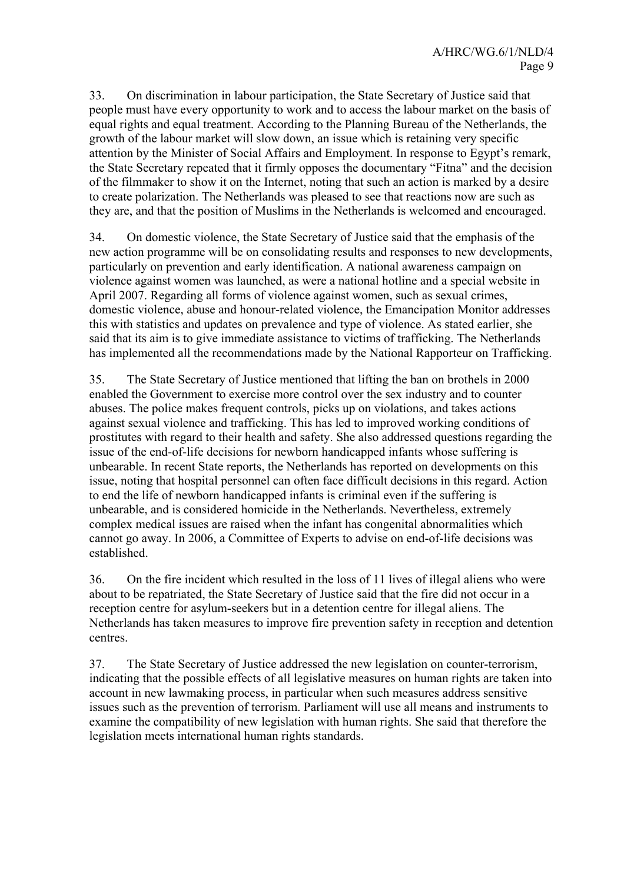33. On discrimination in labour participation, the State Secretary of Justice said that people must have every opportunity to work and to access the labour market on the basis of equal rights and equal treatment. According to the Planning Bureau of the Netherlands, the growth of the labour market will slow down, an issue which is retaining very specific attention by the Minister of Social Affairs and Employment. In response to Egypt's remark, the State Secretary repeated that it firmly opposes the documentary "Fitna" and the decision of the filmmaker to show it on the Internet, noting that such an action is marked by a desire to create polarization. The Netherlands was pleased to see that reactions now are such as they are, and that the position of Muslims in the Netherlands is welcomed and encouraged.

34. On domestic violence, the State Secretary of Justice said that the emphasis of the new action programme will be on consolidating results and responses to new developments, particularly on prevention and early identification. A national awareness campaign on violence against women was launched, as were a national hotline and a special website in April 2007. Regarding all forms of violence against women, such as sexual crimes, domestic violence, abuse and honour-related violence, the Emancipation Monitor addresses this with statistics and updates on prevalence and type of violence. As stated earlier, she said that its aim is to give immediate assistance to victims of trafficking. The Netherlands has implemented all the recommendations made by the National Rapporteur on Trafficking.

35. The State Secretary of Justice mentioned that lifting the ban on brothels in 2000 enabled the Government to exercise more control over the sex industry and to counter abuses. The police makes frequent controls, picks up on violations, and takes actions against sexual violence and trafficking. This has led to improved working conditions of prostitutes with regard to their health and safety. She also addressed questions regarding the issue of the end-of-life decisions for newborn handicapped infants whose suffering is unbearable. In recent State reports, the Netherlands has reported on developments on this issue, noting that hospital personnel can often face difficult decisions in this regard. Action to end the life of newborn handicapped infants is criminal even if the suffering is unbearable, and is considered homicide in the Netherlands. Nevertheless, extremely complex medical issues are raised when the infant has congenital abnormalities which cannot go away. In 2006, a Committee of Experts to advise on end-of-life decisions was established.

36. On the fire incident which resulted in the loss of 11 lives of illegal aliens who were about to be repatriated, the State Secretary of Justice said that the fire did not occur in a reception centre for asylum-seekers but in a detention centre for illegal aliens. The Netherlands has taken measures to improve fire prevention safety in reception and detention centres.

37. The State Secretary of Justice addressed the new legislation on counter-terrorism, indicating that the possible effects of all legislative measures on human rights are taken into account in new lawmaking process, in particular when such measures address sensitive issues such as the prevention of terrorism. Parliament will use all means and instruments to examine the compatibility of new legislation with human rights. She said that therefore the legislation meets international human rights standards.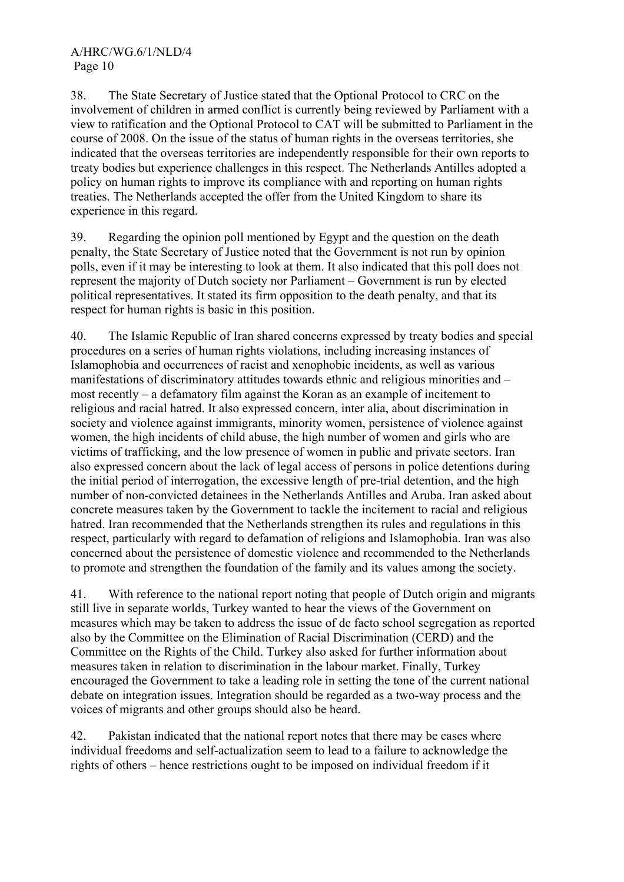38. The State Secretary of Justice stated that the Optional Protocol to CRC on the involvement of children in armed conflict is currently being reviewed by Parliament with a view to ratification and the Optional Protocol to CAT will be submitted to Parliament in the course of 2008. On the issue of the status of human rights in the overseas territories, she indicated that the overseas territories are independently responsible for their own reports to treaty bodies but experience challenges in this respect. The Netherlands Antilles adopted a policy on human rights to improve its compliance with and reporting on human rights treaties. The Netherlands accepted the offer from the United Kingdom to share its experience in this regard.

39. Regarding the opinion poll mentioned by Egypt and the question on the death penalty, the State Secretary of Justice noted that the Government is not run by opinion polls, even if it may be interesting to look at them. It also indicated that this poll does not represent the majority of Dutch society nor Parliament – Government is run by elected political representatives. It stated its firm opposition to the death penalty, and that its respect for human rights is basic in this position.

40. The Islamic Republic of Iran shared concerns expressed by treaty bodies and special procedures on a series of human rights violations, including increasing instances of Islamophobia and occurrences of racist and xenophobic incidents, as well as various manifestations of discriminatory attitudes towards ethnic and religious minorities and – most recently – a defamatory film against the Koran as an example of incitement to religious and racial hatred. It also expressed concern, inter alia, about discrimination in society and violence against immigrants, minority women, persistence of violence against women, the high incidents of child abuse, the high number of women and girls who are victims of trafficking, and the low presence of women in public and private sectors. Iran also expressed concern about the lack of legal access of persons in police detentions during the initial period of interrogation, the excessive length of pre-trial detention, and the high number of non-convicted detainees in the Netherlands Antilles and Aruba. Iran asked about concrete measures taken by the Government to tackle the incitement to racial and religious hatred. Iran recommended that the Netherlands strengthen its rules and regulations in this respect, particularly with regard to defamation of religions and Islamophobia. Iran was also concerned about the persistence of domestic violence and recommended to the Netherlands to promote and strengthen the foundation of the family and its values among the society.

41. With reference to the national report noting that people of Dutch origin and migrants still live in separate worlds, Turkey wanted to hear the views of the Government on measures which may be taken to address the issue of de facto school segregation as reported also by the Committee on the Elimination of Racial Discrimination (CERD) and the Committee on the Rights of the Child. Turkey also asked for further information about measures taken in relation to discrimination in the labour market. Finally, Turkey encouraged the Government to take a leading role in setting the tone of the current national debate on integration issues. Integration should be regarded as a two-way process and the voices of migrants and other groups should also be heard.

42. Pakistan indicated that the national report notes that there may be cases where individual freedoms and self-actualization seem to lead to a failure to acknowledge the rights of others – hence restrictions ought to be imposed on individual freedom if it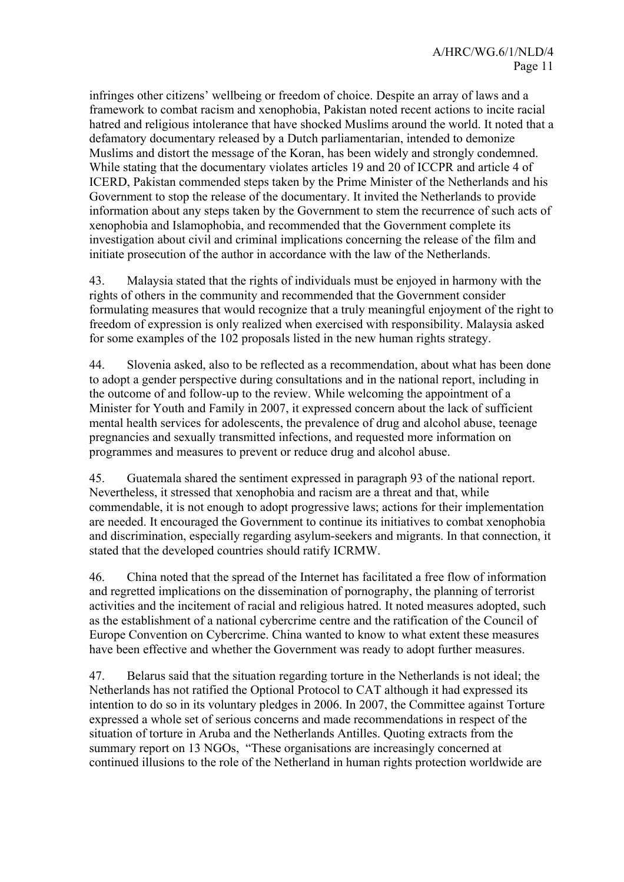infringes other citizens' wellbeing or freedom of choice. Despite an array of laws and a framework to combat racism and xenophobia, Pakistan noted recent actions to incite racial hatred and religious intolerance that have shocked Muslims around the world. It noted that a defamatory documentary released by a Dutch parliamentarian, intended to demonize Muslims and distort the message of the Koran, has been widely and strongly condemned. While stating that the documentary violates articles 19 and 20 of ICCPR and article 4 of ICERD, Pakistan commended steps taken by the Prime Minister of the Netherlands and his Government to stop the release of the documentary. It invited the Netherlands to provide information about any steps taken by the Government to stem the recurrence of such acts of xenophobia and Islamophobia, and recommended that the Government complete its investigation about civil and criminal implications concerning the release of the film and initiate prosecution of the author in accordance with the law of the Netherlands.

43. Malaysia stated that the rights of individuals must be enjoyed in harmony with the rights of others in the community and recommended that the Government consider formulating measures that would recognize that a truly meaningful enjoyment of the right to freedom of expression is only realized when exercised with responsibility. Malaysia asked for some examples of the 102 proposals listed in the new human rights strategy.

44. Slovenia asked, also to be reflected as a recommendation, about what has been done to adopt a gender perspective during consultations and in the national report, including in the outcome of and follow-up to the review. While welcoming the appointment of a Minister for Youth and Family in 2007, it expressed concern about the lack of sufficient mental health services for adolescents, the prevalence of drug and alcohol abuse, teenage pregnancies and sexually transmitted infections, and requested more information on programmes and measures to prevent or reduce drug and alcohol abuse.

45. Guatemala shared the sentiment expressed in paragraph 93 of the national report. Nevertheless, it stressed that xenophobia and racism are a threat and that, while commendable, it is not enough to adopt progressive laws; actions for their implementation are needed. It encouraged the Government to continue its initiatives to combat xenophobia and discrimination, especially regarding asylum-seekers and migrants. In that connection, it stated that the developed countries should ratify ICRMW.

46. China noted that the spread of the Internet has facilitated a free flow of information and regretted implications on the dissemination of pornography, the planning of terrorist activities and the incitement of racial and religious hatred. It noted measures adopted, such as the establishment of a national cybercrime centre and the ratification of the Council of Europe Convention on Cybercrime. China wanted to know to what extent these measures have been effective and whether the Government was ready to adopt further measures.

47. Belarus said that the situation regarding torture in the Netherlands is not ideal; the Netherlands has not ratified the Optional Protocol to CAT although it had expressed its intention to do so in its voluntary pledges in 2006. In 2007, the Committee against Torture expressed a whole set of serious concerns and made recommendations in respect of the situation of torture in Aruba and the Netherlands Antilles. Quoting extracts from the summary report on 13 NGOs, "These organisations are increasingly concerned at continued illusions to the role of the Netherland in human rights protection worldwide are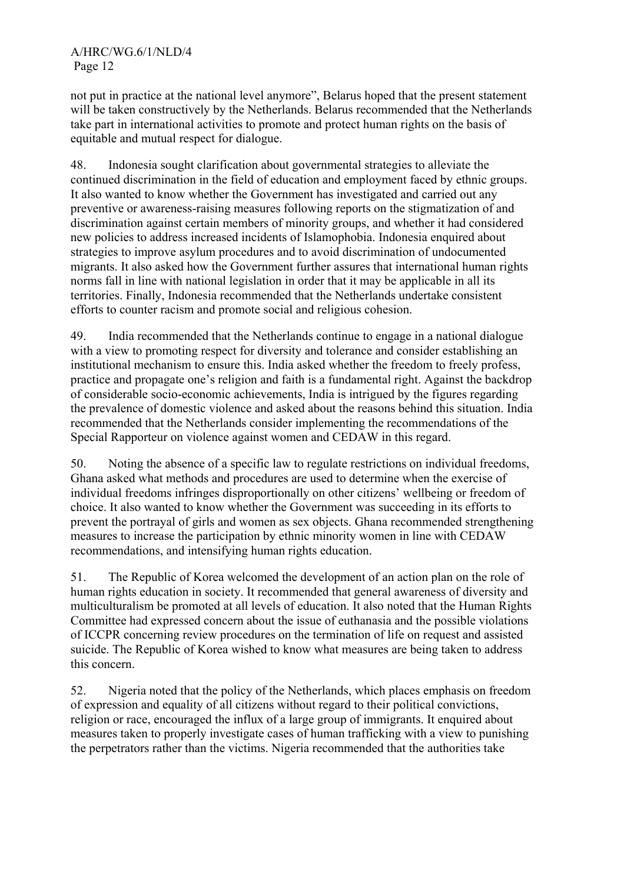not put in practice at the national level anymore", Belarus hoped that the present statement will be taken constructively by the Netherlands. Belarus recommended that the Netherlands take part in international activities to promote and protect human rights on the basis of equitable and mutual respect for dialogue.

48. Indonesia sought clarification about governmental strategies to alleviate the continued discrimination in the field of education and employment faced by ethnic groups. It also wanted to know whether the Government has investigated and carried out any preventive or awareness-raising measures following reports on the stigmatization of and discrimination against certain members of minority groups, and whether it had considered new policies to address increased incidents of Islamophobia. Indonesia enquired about strategies to improve asylum procedures and to avoid discrimination of undocumented migrants. It also asked how the Government further assures that international human rights norms fall in line with national legislation in order that it may be applicable in all its territories. Finally, Indonesia recommended that the Netherlands undertake consistent efforts to counter racism and promote social and religious cohesion.

49. India recommended that the Netherlands continue to engage in a national dialogue with a view to promoting respect for diversity and tolerance and consider establishing an institutional mechanism to ensure this. India asked whether the freedom to freely profess, practice and propagate one's religion and faith is a fundamental right. Against the backdrop of considerable socio-economic achievements, India is intrigued by the figures regarding the prevalence of domestic violence and asked about the reasons behind this situation. India recommended that the Netherlands consider implementing the recommendations of the Special Rapporteur on violence against women and CEDAW in this regard.

50. Noting the absence of a specific law to regulate restrictions on individual freedoms, Ghana asked what methods and procedures are used to determine when the exercise of individual freedoms infringes disproportionally on other citizens' wellbeing or freedom of choice. It also wanted to know whether the Government was succeeding in its efforts to prevent the portrayal of girls and women as sex objects. Ghana recommended strengthening measures to increase the participation by ethnic minority women in line with CEDAW recommendations, and intensifying human rights education.

51. The Republic of Korea welcomed the development of an action plan on the role of human rights education in society. It recommended that general awareness of diversity and multiculturalism be promoted at all levels of education. It also noted that the Human Rights Committee had expressed concern about the issue of euthanasia and the possible violations of ICCPR concerning review procedures on the termination of life on request and assisted suicide. The Republic of Korea wished to know what measures are being taken to address this concern.

52. Nigeria noted that the policy of the Netherlands, which places emphasis on freedom of expression and equality of all citizens without regard to their political convictions, religion or race, encouraged the influx of a large group of immigrants. It enquired about measures taken to properly investigate cases of human trafficking with a view to punishing the perpetrators rather than the victims. Nigeria recommended that the authorities take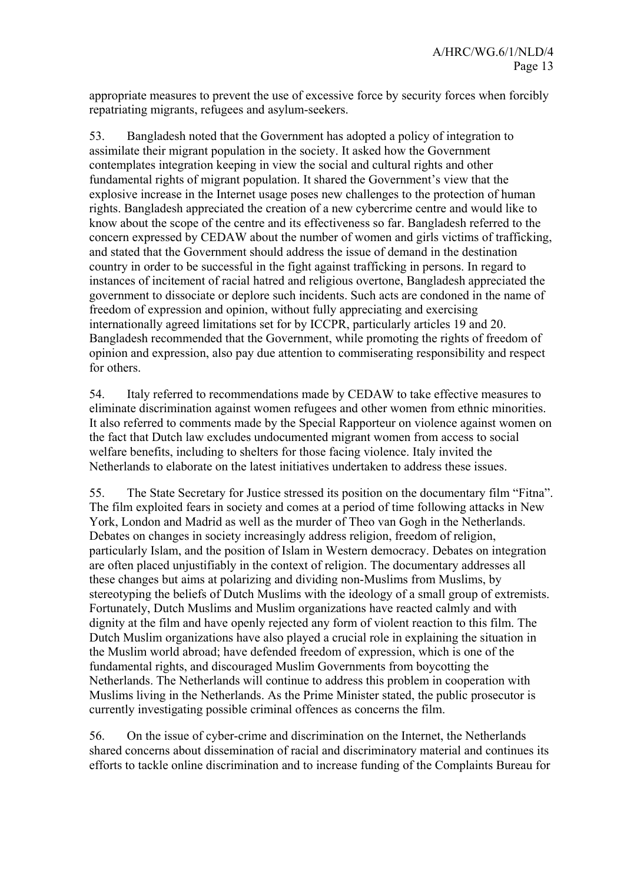appropriate measures to prevent the use of excessive force by security forces when forcibly repatriating migrants, refugees and asylum-seekers.

53. Bangladesh noted that the Government has adopted a policy of integration to assimilate their migrant population in the society. It asked how the Government contemplates integration keeping in view the social and cultural rights and other fundamental rights of migrant population. It shared the Government's view that the explosive increase in the Internet usage poses new challenges to the protection of human rights. Bangladesh appreciated the creation of a new cybercrime centre and would like to know about the scope of the centre and its effectiveness so far. Bangladesh referred to the concern expressed by CEDAW about the number of women and girls victims of trafficking, and stated that the Government should address the issue of demand in the destination country in order to be successful in the fight against trafficking in persons. In regard to instances of incitement of racial hatred and religious overtone, Bangladesh appreciated the government to dissociate or deplore such incidents. Such acts are condoned in the name of freedom of expression and opinion, without fully appreciating and exercising internationally agreed limitations set for by ICCPR, particularly articles 19 and 20. Bangladesh recommended that the Government, while promoting the rights of freedom of opinion and expression, also pay due attention to commiserating responsibility and respect for others.

54. Italy referred to recommendations made by CEDAW to take effective measures to eliminate discrimination against women refugees and other women from ethnic minorities. It also referred to comments made by the Special Rapporteur on violence against women on the fact that Dutch law excludes undocumented migrant women from access to social welfare benefits, including to shelters for those facing violence. Italy invited the Netherlands to elaborate on the latest initiatives undertaken to address these issues.

55. The State Secretary for Justice stressed its position on the documentary film "Fitna". The film exploited fears in society and comes at a period of time following attacks in New York, London and Madrid as well as the murder of Theo van Gogh in the Netherlands. Debates on changes in society increasingly address religion, freedom of religion, particularly Islam, and the position of Islam in Western democracy. Debates on integration are often placed unjustifiably in the context of religion. The documentary addresses all these changes but aims at polarizing and dividing non-Muslims from Muslims, by stereotyping the beliefs of Dutch Muslims with the ideology of a small group of extremists. Fortunately, Dutch Muslims and Muslim organizations have reacted calmly and with dignity at the film and have openly rejected any form of violent reaction to this film. The Dutch Muslim organizations have also played a crucial role in explaining the situation in the Muslim world abroad; have defended freedom of expression, which is one of the fundamental rights, and discouraged Muslim Governments from boycotting the Netherlands. The Netherlands will continue to address this problem in cooperation with Muslims living in the Netherlands. As the Prime Minister stated, the public prosecutor is currently investigating possible criminal offences as concerns the film.

56. On the issue of cyber-crime and discrimination on the Internet, the Netherlands shared concerns about dissemination of racial and discriminatory material and continues its efforts to tackle online discrimination and to increase funding of the Complaints Bureau for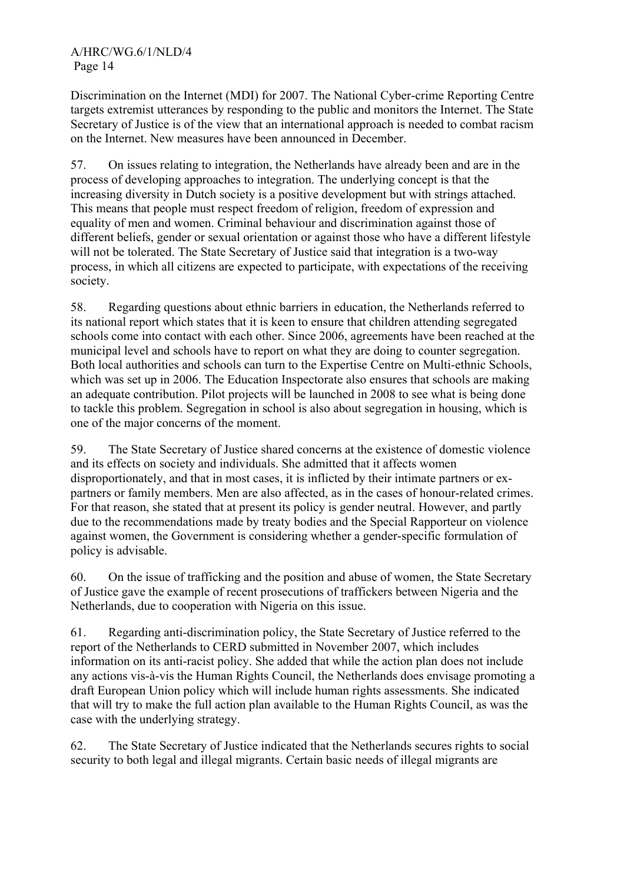Discrimination on the Internet (MDI) for 2007. The National Cyber-crime Reporting Centre targets extremist utterances by responding to the public and monitors the Internet. The State Secretary of Justice is of the view that an international approach is needed to combat racism on the Internet. New measures have been announced in December.

57. On issues relating to integration, the Netherlands have already been and are in the process of developing approaches to integration. The underlying concept is that the increasing diversity in Dutch society is a positive development but with strings attached. This means that people must respect freedom of religion, freedom of expression and equality of men and women. Criminal behaviour and discrimination against those of different beliefs, gender or sexual orientation or against those who have a different lifestyle will not be tolerated. The State Secretary of Justice said that integration is a two-way process, in which all citizens are expected to participate, with expectations of the receiving society.

58. Regarding questions about ethnic barriers in education, the Netherlands referred to its national report which states that it is keen to ensure that children attending segregated schools come into contact with each other. Since 2006, agreements have been reached at the municipal level and schools have to report on what they are doing to counter segregation. Both local authorities and schools can turn to the Expertise Centre on Multi-ethnic Schools, which was set up in 2006. The Education Inspectorate also ensures that schools are making an adequate contribution. Pilot projects will be launched in 2008 to see what is being done to tackle this problem. Segregation in school is also about segregation in housing, which is one of the major concerns of the moment.

59. The State Secretary of Justice shared concerns at the existence of domestic violence and its effects on society and individuals. She admitted that it affects women disproportionately, and that in most cases, it is inflicted by their intimate partners or expartners or family members. Men are also affected, as in the cases of honour-related crimes. For that reason, she stated that at present its policy is gender neutral. However, and partly due to the recommendations made by treaty bodies and the Special Rapporteur on violence against women, the Government is considering whether a gender-specific formulation of policy is advisable.

60. On the issue of trafficking and the position and abuse of women, the State Secretary of Justice gave the example of recent prosecutions of traffickers between Nigeria and the Netherlands, due to cooperation with Nigeria on this issue.

61. Regarding anti-discrimination policy, the State Secretary of Justice referred to the report of the Netherlands to CERD submitted in November 2007, which includes information on its anti-racist policy. She added that while the action plan does not include any actions vis-à-vis the Human Rights Council, the Netherlands does envisage promoting a draft European Union policy which will include human rights assessments. She indicated that will try to make the full action plan available to the Human Rights Council, as was the case with the underlying strategy.

62. The State Secretary of Justice indicated that the Netherlands secures rights to social security to both legal and illegal migrants. Certain basic needs of illegal migrants are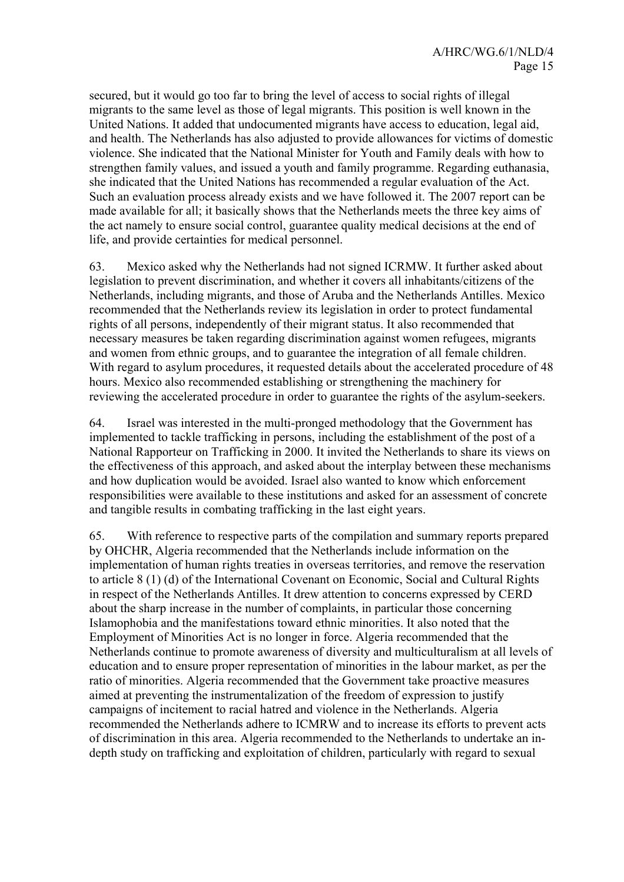secured, but it would go too far to bring the level of access to social rights of illegal migrants to the same level as those of legal migrants. This position is well known in the United Nations. It added that undocumented migrants have access to education, legal aid, and health. The Netherlands has also adjusted to provide allowances for victims of domestic violence. She indicated that the National Minister for Youth and Family deals with how to strengthen family values, and issued a youth and family programme. Regarding euthanasia, she indicated that the United Nations has recommended a regular evaluation of the Act. Such an evaluation process already exists and we have followed it. The 2007 report can be made available for all; it basically shows that the Netherlands meets the three key aims of the act namely to ensure social control, guarantee quality medical decisions at the end of life, and provide certainties for medical personnel.

63. Mexico asked why the Netherlands had not signed ICRMW. It further asked about legislation to prevent discrimination, and whether it covers all inhabitants/citizens of the Netherlands, including migrants, and those of Aruba and the Netherlands Antilles. Mexico recommended that the Netherlands review its legislation in order to protect fundamental rights of all persons, independently of their migrant status. It also recommended that necessary measures be taken regarding discrimination against women refugees, migrants and women from ethnic groups, and to guarantee the integration of all female children. With regard to asylum procedures, it requested details about the accelerated procedure of 48 hours. Mexico also recommended establishing or strengthening the machinery for reviewing the accelerated procedure in order to guarantee the rights of the asylum-seekers.

64. Israel was interested in the multi-pronged methodology that the Government has implemented to tackle trafficking in persons, including the establishment of the post of a National Rapporteur on Trafficking in 2000. It invited the Netherlands to share its views on the effectiveness of this approach, and asked about the interplay between these mechanisms and how duplication would be avoided. Israel also wanted to know which enforcement responsibilities were available to these institutions and asked for an assessment of concrete and tangible results in combating trafficking in the last eight years.

65. With reference to respective parts of the compilation and summary reports prepared by OHCHR, Algeria recommended that the Netherlands include information on the implementation of human rights treaties in overseas territories, and remove the reservation to article 8 (1) (d) of the International Covenant on Economic, Social and Cultural Rights in respect of the Netherlands Antilles. It drew attention to concerns expressed by CERD about the sharp increase in the number of complaints, in particular those concerning Islamophobia and the manifestations toward ethnic minorities. It also noted that the Employment of Minorities Act is no longer in force. Algeria recommended that the Netherlands continue to promote awareness of diversity and multiculturalism at all levels of education and to ensure proper representation of minorities in the labour market, as per the ratio of minorities. Algeria recommended that the Government take proactive measures aimed at preventing the instrumentalization of the freedom of expression to justify campaigns of incitement to racial hatred and violence in the Netherlands. Algeria recommended the Netherlands adhere to ICMRW and to increase its efforts to prevent acts of discrimination in this area. Algeria recommended to the Netherlands to undertake an indepth study on trafficking and exploitation of children, particularly with regard to sexual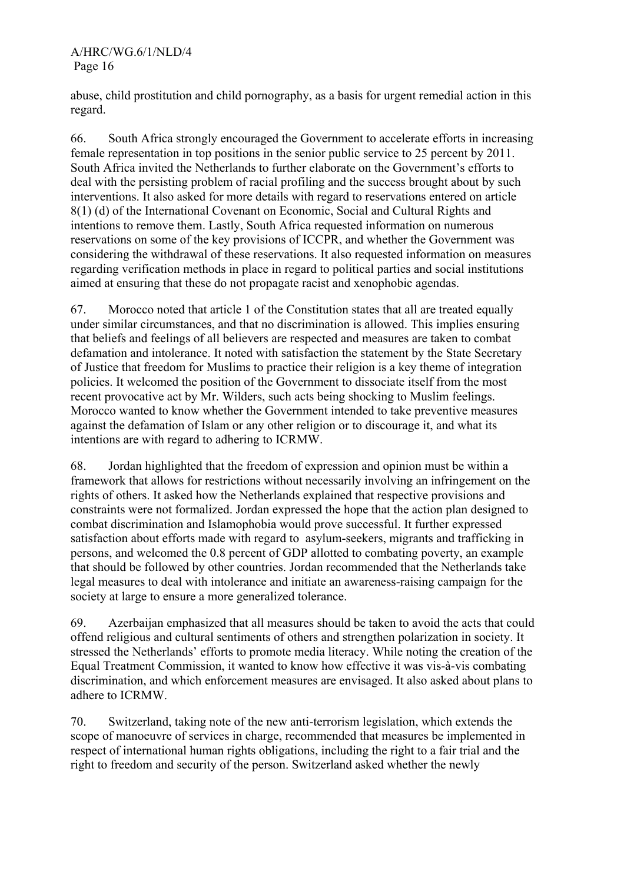abuse, child prostitution and child pornography, as a basis for urgent remedial action in this regard.

66. South Africa strongly encouraged the Government to accelerate efforts in increasing female representation in top positions in the senior public service to 25 percent by 2011. South Africa invited the Netherlands to further elaborate on the Government's efforts to deal with the persisting problem of racial profiling and the success brought about by such interventions. It also asked for more details with regard to reservations entered on article 8(1) (d) of the International Covenant on Economic, Social and Cultural Rights and intentions to remove them. Lastly, South Africa requested information on numerous reservations on some of the key provisions of ICCPR, and whether the Government was considering the withdrawal of these reservations. It also requested information on measures regarding verification methods in place in regard to political parties and social institutions aimed at ensuring that these do not propagate racist and xenophobic agendas.

67. Morocco noted that article 1 of the Constitution states that all are treated equally under similar circumstances, and that no discrimination is allowed. This implies ensuring that beliefs and feelings of all believers are respected and measures are taken to combat defamation and intolerance. It noted with satisfaction the statement by the State Secretary of Justice that freedom for Muslims to practice their religion is a key theme of integration policies. It welcomed the position of the Government to dissociate itself from the most recent provocative act by Mr. Wilders, such acts being shocking to Muslim feelings. Morocco wanted to know whether the Government intended to take preventive measures against the defamation of Islam or any other religion or to discourage it, and what its intentions are with regard to adhering to ICRMW.

68. Jordan highlighted that the freedom of expression and opinion must be within a framework that allows for restrictions without necessarily involving an infringement on the rights of others. It asked how the Netherlands explained that respective provisions and constraints were not formalized. Jordan expressed the hope that the action plan designed to combat discrimination and Islamophobia would prove successful. It further expressed satisfaction about efforts made with regard to asylum-seekers, migrants and trafficking in persons, and welcomed the 0.8 percent of GDP allotted to combating poverty, an example that should be followed by other countries. Jordan recommended that the Netherlands take legal measures to deal with intolerance and initiate an awareness-raising campaign for the society at large to ensure a more generalized tolerance.

69. Azerbaijan emphasized that all measures should be taken to avoid the acts that could offend religious and cultural sentiments of others and strengthen polarization in society. It stressed the Netherlands' efforts to promote media literacy. While noting the creation of the Equal Treatment Commission, it wanted to know how effective it was vis-à-vis combating discrimination, and which enforcement measures are envisaged. It also asked about plans to adhere to ICRMW.

70. Switzerland, taking note of the new anti-terrorism legislation, which extends the scope of manoeuvre of services in charge, recommended that measures be implemented in respect of international human rights obligations, including the right to a fair trial and the right to freedom and security of the person. Switzerland asked whether the newly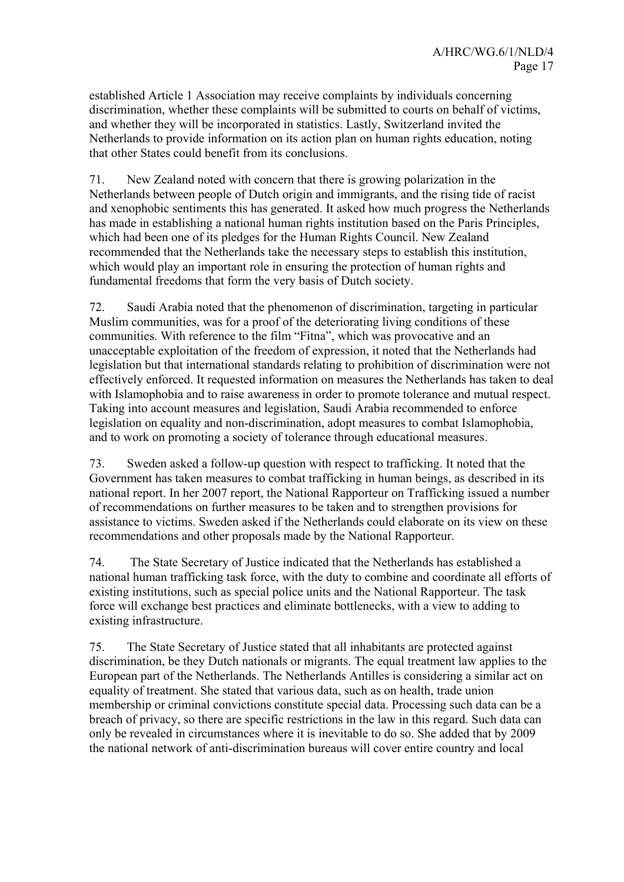established Article 1 Association may receive complaints by individuals concerning discrimination, whether these complaints will be submitted to courts on behalf of victims, and whether they will be incorporated in statistics. Lastly, Switzerland invited the Netherlands to provide information on its action plan on human rights education, noting that other States could benefit from its conclusions.

71. New Zealand noted with concern that there is growing polarization in the Netherlands between people of Dutch origin and immigrants, and the rising tide of racist and xenophobic sentiments this has generated. It asked how much progress the Netherlands has made in establishing a national human rights institution based on the Paris Principles, which had been one of its pledges for the Human Rights Council. New Zealand recommended that the Netherlands take the necessary steps to establish this institution, which would play an important role in ensuring the protection of human rights and fundamental freedoms that form the very basis of Dutch society.

72. Saudi Arabia noted that the phenomenon of discrimination, targeting in particular Muslim communities, was for a proof of the deteriorating living conditions of these communities. With reference to the film "Fitna", which was provocative and an unacceptable exploitation of the freedom of expression, it noted that the Netherlands had legislation but that international standards relating to prohibition of discrimination were not effectively enforced. It requested information on measures the Netherlands has taken to deal with Islamophobia and to raise awareness in order to promote tolerance and mutual respect. Taking into account measures and legislation, Saudi Arabia recommended to enforce legislation on equality and non-discrimination, adopt measures to combat Islamophobia, and to work on promoting a society of tolerance through educational measures.

73. Sweden asked a follow-up question with respect to trafficking. It noted that the Government has taken measures to combat trafficking in human beings, as described in its national report. In her 2007 report, the National Rapporteur on Trafficking issued a number of recommendations on further measures to be taken and to strengthen provisions for assistance to victims. Sweden asked if the Netherlands could elaborate on its view on these recommendations and other proposals made by the National Rapporteur.

74. The State Secretary of Justice indicated that the Netherlands has established a national human trafficking task force, with the duty to combine and coordinate all efforts of existing institutions, such as special police units and the National Rapporteur. The task force will exchange best practices and eliminate bottlenecks, with a view to adding to existing infrastructure.

75. The State Secretary of Justice stated that all inhabitants are protected against discrimination, be they Dutch nationals or migrants. The equal treatment law applies to the European part of the Netherlands. The Netherlands Antilles is considering a similar act on equality of treatment. She stated that various data, such as on health, trade union membership or criminal convictions constitute special data. Processing such data can be a breach of privacy, so there are specific restrictions in the law in this regard. Such data can only be revealed in circumstances where it is inevitable to do so. She added that by 2009 the national network of anti-discrimination bureaus will cover entire country and local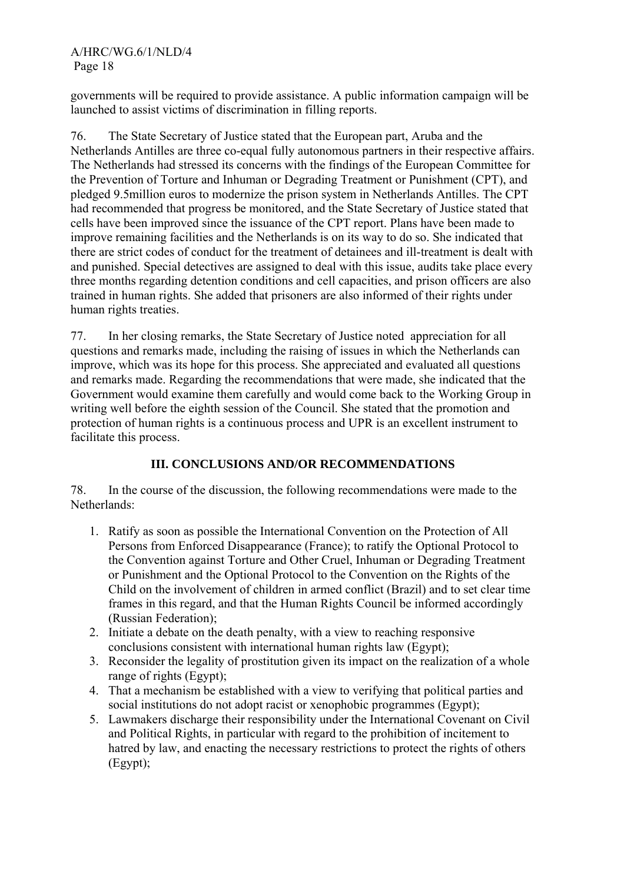governments will be required to provide assistance. A public information campaign will be launched to assist victims of discrimination in filling reports.

76. The State Secretary of Justice stated that the European part, Aruba and the Netherlands Antilles are three co-equal fully autonomous partners in their respective affairs. The Netherlands had stressed its concerns with the findings of the European Committee for the Prevention of Torture and Inhuman or Degrading Treatment or Punishment (CPT), and pledged 9.5million euros to modernize the prison system in Netherlands Antilles. The CPT had recommended that progress be monitored, and the State Secretary of Justice stated that cells have been improved since the issuance of the CPT report. Plans have been made to improve remaining facilities and the Netherlands is on its way to do so. She indicated that there are strict codes of conduct for the treatment of detainees and ill-treatment is dealt with and punished. Special detectives are assigned to deal with this issue, audits take place every three months regarding detention conditions and cell capacities, and prison officers are also trained in human rights. She added that prisoners are also informed of their rights under human rights treaties.

77. In her closing remarks, the State Secretary of Justice noted appreciation for all questions and remarks made, including the raising of issues in which the Netherlands can improve, which was its hope for this process. She appreciated and evaluated all questions and remarks made. Regarding the recommendations that were made, she indicated that the Government would examine them carefully and would come back to the Working Group in writing well before the eighth session of the Council. She stated that the promotion and protection of human rights is a continuous process and UPR is an excellent instrument to facilitate this process.

# **III. CONCLUSIONS AND/OR RECOMMENDATIONS**

78. In the course of the discussion, the following recommendations were made to the Netherlands:

- 1. Ratify as soon as possible the International Convention on the Protection of All Persons from Enforced Disappearance (France); to ratify the Optional Protocol to the Convention against Torture and Other Cruel, Inhuman or Degrading Treatment or Punishment and the Optional Protocol to the Convention on the Rights of the Child on the involvement of children in armed conflict (Brazil) and to set clear time frames in this regard, and that the Human Rights Council be informed accordingly (Russian Federation);
- 2. Initiate a debate on the death penalty, with a view to reaching responsive conclusions consistent with international human rights law (Egypt);
- 3. Reconsider the legality of prostitution given its impact on the realization of a whole range of rights (Egypt);
- 4. That a mechanism be established with a view to verifying that political parties and social institutions do not adopt racist or xenophobic programmes (Egypt);
- 5. Lawmakers discharge their responsibility under the International Covenant on Civil and Political Rights, in particular with regard to the prohibition of incitement to hatred by law, and enacting the necessary restrictions to protect the rights of others (Egypt);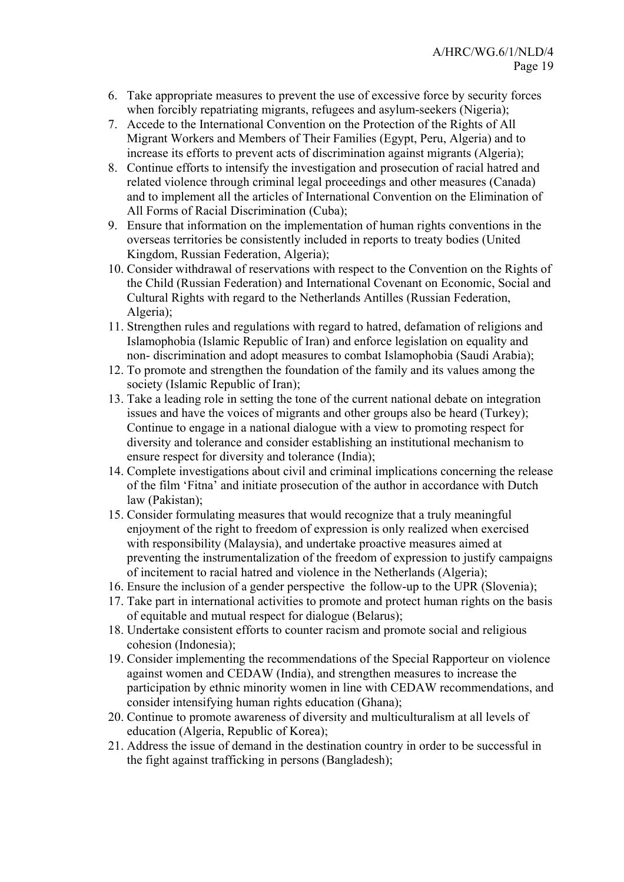- 6. Take appropriate measures to prevent the use of excessive force by security forces when forcibly repatriating migrants, refugees and asylum-seekers (Nigeria);
- 7. Accede to the International Convention on the Protection of the Rights of All Migrant Workers and Members of Their Families (Egypt, Peru, Algeria) and to increase its efforts to prevent acts of discrimination against migrants (Algeria);
- 8. Continue efforts to intensify the investigation and prosecution of racial hatred and related violence through criminal legal proceedings and other measures (Canada) and to implement all the articles of International Convention on the Elimination of All Forms of Racial Discrimination (Cuba);
- 9. Ensure that information on the implementation of human rights conventions in the overseas territories be consistently included in reports to treaty bodies (United Kingdom, Russian Federation, Algeria);
- 10. Consider withdrawal of reservations with respect to the Convention on the Rights of the Child (Russian Federation) and International Covenant on Economic, Social and Cultural Rights with regard to the Netherlands Antilles (Russian Federation, Algeria);
- 11. Strengthen rules and regulations with regard to hatred, defamation of religions and Islamophobia (Islamic Republic of Iran) and enforce legislation on equality and non- discrimination and adopt measures to combat Islamophobia (Saudi Arabia);
- 12. To promote and strengthen the foundation of the family and its values among the society (Islamic Republic of Iran);
- 13. Take a leading role in setting the tone of the current national debate on integration issues and have the voices of migrants and other groups also be heard (Turkey); Continue to engage in a national dialogue with a view to promoting respect for diversity and tolerance and consider establishing an institutional mechanism to ensure respect for diversity and tolerance (India);
- 14. Complete investigations about civil and criminal implications concerning the release of the film 'Fitna' and initiate prosecution of the author in accordance with Dutch law (Pakistan);
- 15. Consider formulating measures that would recognize that a truly meaningful enjoyment of the right to freedom of expression is only realized when exercised with responsibility (Malaysia), and undertake proactive measures aimed at preventing the instrumentalization of the freedom of expression to justify campaigns of incitement to racial hatred and violence in the Netherlands (Algeria);
- 16. Ensure the inclusion of a gender perspective the follow-up to the UPR (Slovenia);
- 17. Take part in international activities to promote and protect human rights on the basis of equitable and mutual respect for dialogue (Belarus);
- 18. Undertake consistent efforts to counter racism and promote social and religious cohesion (Indonesia);
- 19. Consider implementing the recommendations of the Special Rapporteur on violence against women and CEDAW (India), and strengthen measures to increase the participation by ethnic minority women in line with CEDAW recommendations, and consider intensifying human rights education (Ghana);
- 20. Continue to promote awareness of diversity and multiculturalism at all levels of education (Algeria, Republic of Korea);
- 21. Address the issue of demand in the destination country in order to be successful in the fight against trafficking in persons (Bangladesh);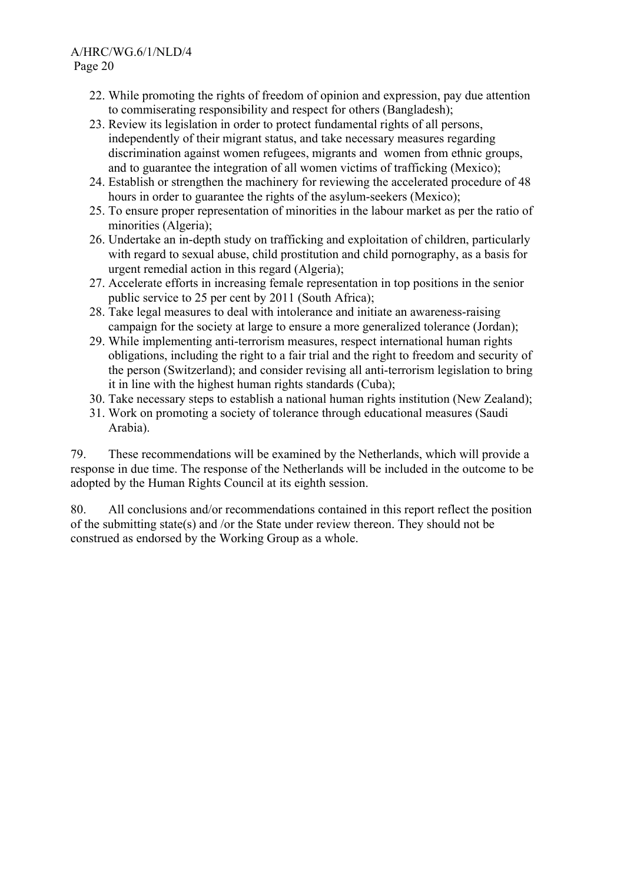- 22. While promoting the rights of freedom of opinion and expression, pay due attention to commiserating responsibility and respect for others (Bangladesh);
- 23. Review its legislation in order to protect fundamental rights of all persons, independently of their migrant status, and take necessary measures regarding discrimination against women refugees, migrants and women from ethnic groups, and to guarantee the integration of all women victims of trafficking (Mexico);
- 24. Establish or strengthen the machinery for reviewing the accelerated procedure of 48 hours in order to guarantee the rights of the asylum-seekers (Mexico);
- 25. To ensure proper representation of minorities in the labour market as per the ratio of minorities (Algeria);
- 26. Undertake an in-depth study on trafficking and exploitation of children, particularly with regard to sexual abuse, child prostitution and child pornography, as a basis for urgent remedial action in this regard (Algeria);
- 27. Accelerate efforts in increasing female representation in top positions in the senior public service to 25 per cent by 2011 (South Africa);
- 28. Take legal measures to deal with intolerance and initiate an awareness-raising campaign for the society at large to ensure a more generalized tolerance (Jordan);
- 29. While implementing anti-terrorism measures, respect international human rights obligations, including the right to a fair trial and the right to freedom and security of the person (Switzerland); and consider revising all anti-terrorism legislation to bring it in line with the highest human rights standards (Cuba);
- 30. Take necessary steps to establish a national human rights institution (New Zealand);
- 31. Work on promoting a society of tolerance through educational measures (Saudi Arabia).

79. These recommendations will be examined by the Netherlands, which will provide a response in due time. The response of the Netherlands will be included in the outcome to be adopted by the Human Rights Council at its eighth session.

80. All conclusions and/or recommendations contained in this report reflect the position of the submitting state(s) and /or the State under review thereon. They should not be construed as endorsed by the Working Group as a whole.